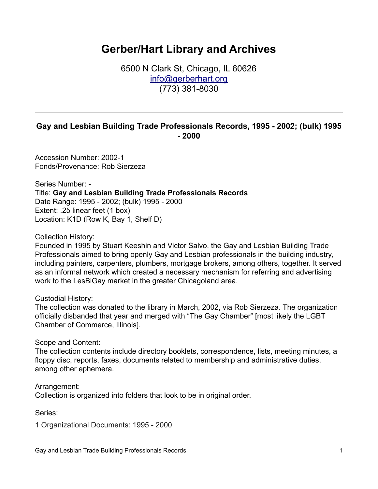## **Gerber/Hart Library and Archives**

6500 N Clark St, Chicago, IL 60626 [info@gerberhart.org](mailto:info@gerberhart.org) (773) 381-8030

## **Gay and Lesbian Building Trade Professionals Records, 1995 - 2002; (bulk) 1995 - 2000**

Accession Number: 2002-1 Fonds/Provenance: Rob Sierzeza

Series Number: - Title: **Gay and Lesbian Building Trade Professionals Records** Date Range: 1995 - 2002; (bulk) 1995 - 2000 Extent: .25 linear feet (1 box) Location: K1D (Row K, Bay 1, Shelf D)

Collection History:

Founded in 1995 by Stuart Keeshin and Victor Salvo, the Gay and Lesbian Building Trade Professionals aimed to bring openly Gay and Lesbian professionals in the building industry, including painters, carpenters, plumbers, mortgage brokers, among others, together. It served as an informal network which created a necessary mechanism for referring and advertising work to the LesBiGay market in the greater Chicagoland area.

Custodial History:

The collection was donated to the library in March, 2002, via Rob Sierzeza. The organization officially disbanded that year and merged with "The Gay Chamber" [most likely the LGBT Chamber of Commerce, Illinois].

Scope and Content:

The collection contents include directory booklets, correspondence, lists, meeting minutes, a floppy disc, reports, faxes, documents related to membership and administrative duties, among other ephemera.

Arrangement: Collection is organized into folders that look to be in original order.

Series:

1 Organizational Documents: 1995 - 2000

Gay and Lesbian Trade Building Professionals Records 1